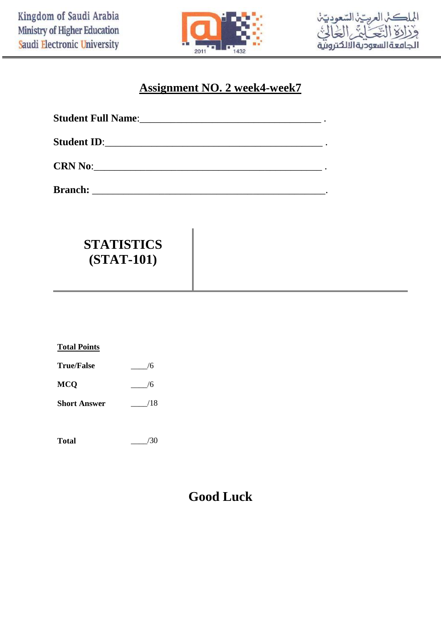



## **Assignment NO. 2 week4-week7**

| <b>Student ID:</b> |  |
|--------------------|--|
| CRN No:            |  |

**Branch:** \_\_\_\_\_\_\_\_\_\_\_\_\_\_\_\_\_\_\_\_\_\_\_\_\_\_\_\_\_\_\_\_\_\_\_\_\_\_\_\_\_\_\_\_\_.

# **STATISTICS (STAT-101)**

| <b>Total Points</b> |     |
|---------------------|-----|
| <b>True/False</b>   | 6/  |
| <b>MCQ</b>          | 6/  |
| <b>Short Answer</b> | /18 |
|                     |     |

**Total** \_\_\_\_/30

# **Good Luck**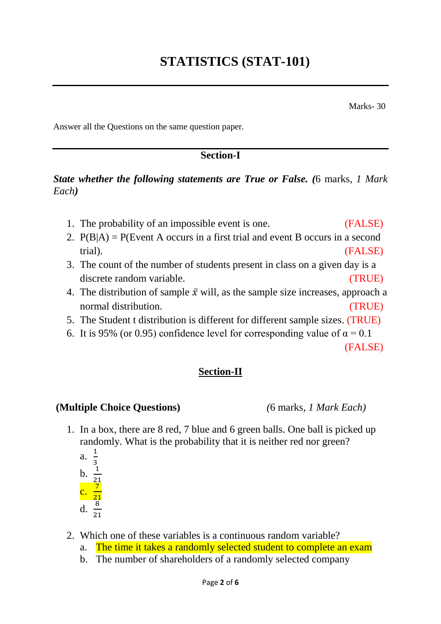Marks- 30

Answer all the Questions on the same question paper*.*

### **Section-I**

*State whether the following statements are True or False. (*6 marks*, 1 Mark Each)*

- 1. The probability of an impossible event is one. (FALSE)
- 2.  $P(B|A) = P(Event A occurs in a first trial and event B occurs in a second$ trial). (FALSE)
- 3. The count of the number of students present in class on a given day is a discrete random variable. (TRUE)
- 4. The distribution of sample  $\bar{x}$  will, as the sample size increases, approach a normal distribution. (TRUE)
- 5. The Student t distribution is different for different sample sizes. (TRUE)
- 6. It is 95% (or 0.95) confidence level for corresponding value of  $\alpha = 0.1$

(FALSE)

### **Section-II**

#### **(Multiple Choice Questions)** *(*6 marks*, 1 Mark Each)*

- 1. In a box, there are 8 red, 7 blue and 6 green balls. One ball is picked up randomly. What is the probability that it is neither red nor green? 1
	- a. 3
	- $\mathbf b$ . 21
	- c. 7 21
	- d.  $\frac{8}{21}$
	-
- 2. Which one of these variables is a continuous random variable?
	- a. The time it takes a randomly selected student to complete an exam
	- b. The number of shareholders of a randomly selected company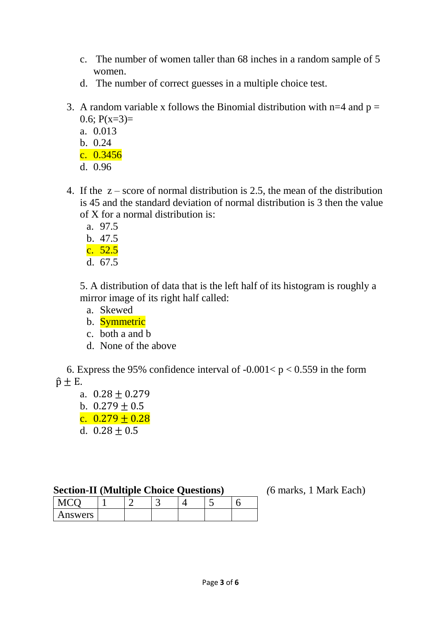- c. The number of women taller than 68 inches in a random sample of 5 women.
- d. The number of correct guesses in a multiple choice test.
- 3. A random variable x follows the Binomial distribution with  $n=4$  and  $p=$  $0.6; P(x=3)=$ 
	- a. 0.013
	- b. 0.24
	- c. 0.3456
	- d. 0.96
- 4. If the z score of normal distribution is 2.5, the mean of the distribution is 45 and the standard deviation of normal distribution is 3 then the value of X for a normal distribution is:
	- a. 97.5
	- b. 47.5 c. 52.5
	- d. 67.5

5. A distribution of data that is the left half of its histogram is roughly a mirror image of its right half called:

- a. Skewed
- b. Symmetric
- c. both a and b
- d. None of the above

6. Express the 95% confidence interval of  $-0.001 < p < 0.559$  in the form  $\hat{p} \pm E$ .

- a.  $0.28 + 0.279$
- b.  $0.279 + 0.5$ c.  $0.279 + 0.28$
- d.  $0.28 + 0.5$

### **Section-II (Multiple Choice Questions)** *(*6 marks*,* 1 Mark Each)

| $\sim$  |  |  |  |
|---------|--|--|--|
| Answers |  |  |  |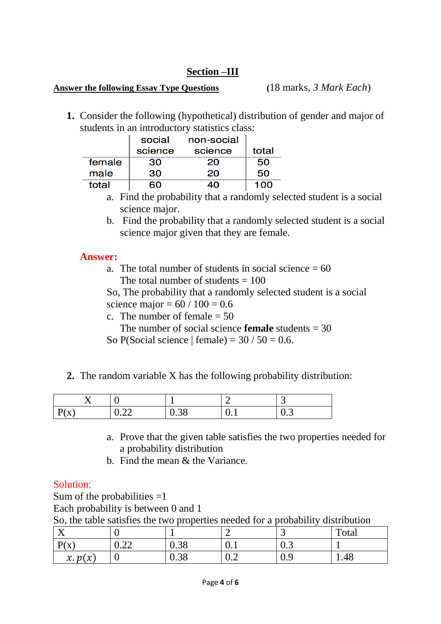## **Section –III**

#### **Answer the following Essay Type Questions (**18 marks*, 3 Mark Each*)

**1.** Consider the following (hypothetical) distribution of gender and major of students in an introductory statistics class:

|        | social  | non-social |       |
|--------|---------|------------|-------|
|        | science | science    | total |
| female | 30      | 20         | 50    |
| male   | 30      | 20         | 50    |
| total  | ഭറ      | 40         | 100   |

- a. Find the probability that a randomly selected student is a social science major.
- b. Find the probability that a randomly selected student is a social science major given that they are female.

#### **Answer:**

a. The total number of students in social science  $= 60$ The total number of students  $= 100$ 

So, The probability that a randomly selected student is a social science major =  $60 / 100 = 0.6$ 

c. The number of female  $= 50$ 

The number of social science **female** students  $= 30$ 

So P(Social science | female) =  $30/50 = 0.6$ .

**2.** The random variable X has the following probability distribution:

|                           |                                                   |                | -   | ັ                       |
|---------------------------|---------------------------------------------------|----------------|-----|-------------------------|
| $\mathbf{r}$<br>$\Lambda$ | $\cap$<br>$\mathsf{U}\bullet\mathsf{L}\mathsf{L}$ | $\sim$<br>v.Ju | ◡.⊥ | $\mathsf{u}.\mathsf{v}$ |

- a. Prove that the given table satisfies the two properties needed for a probability distribution
- b. Find the mean & the Variance.

### Solution:

Sum of the probabilities  $=1$ Each probability is between 0 and 1

So, the table satisfies the two properties needed for a probability distribution

| $\mathbf{v}$<br>$\overline{ }$             |                                                       |            | $\overline{\phantom{0}}$              | ັ                       | Total |
|--------------------------------------------|-------------------------------------------------------|------------|---------------------------------------|-------------------------|-------|
| $\mathbf{D}(\mathbf{v})$<br>$\Lambda$<br>ᅩ | $\bigcap$<br>$\mathsf{U} \cdot \mathsf{L} \mathsf{L}$ | 20<br>u.jo | $\mathbf{v} \cdot \mathbf{r}$         | $\mathsf{u}.\mathsf{v}$ |       |
| x. p(x)                                    | ິ                                                     | 0.38       | $\sqrt{2}$<br>$\mathsf{u}.\mathsf{v}$ | v.,                     | 1.48  |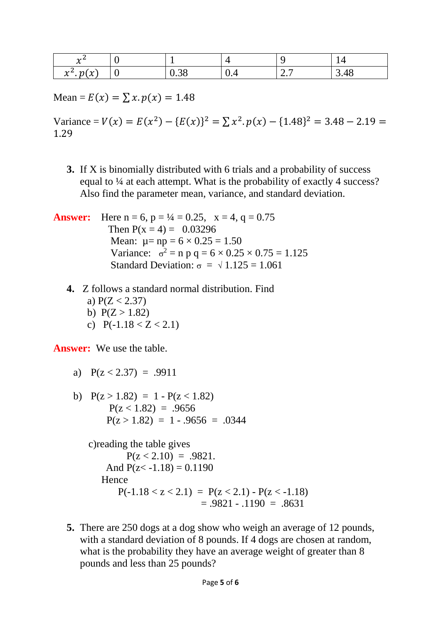| $\sim$<br>$\sim$<br>∼                                              |   |                |     |                         | . .     |
|--------------------------------------------------------------------|---|----------------|-----|-------------------------|---------|
| $\mathcal{N}$ and $\mathcal{N}$<br>$\overline{a}$<br>∼<br>. .<br>∼ | ິ | $\sim$<br>U.JO | V.4 | .  —<br>$\sim$<br>، ، ، | $J.$ TV |

Mean =  $E(x) = \sum x . p(x) = 1.48$ 

Variance =  $V(x) = E(x^2) - {E(x)}^2 = \sum x^2 \cdot p(x) - {1.48}^2 = 3.48 - 2.19 =$ 1.29

**3.** If X is binomially distributed with 6 trials and a probability of success equal to <sup>1</sup>/4 at each attempt. What is the probability of exactly 4 success? Also find the parameter mean, variance, and standard deviation.

**Answer:** Here  $n = 6$ ,  $p = \frac{1}{4} = 0.25$ ,  $x = 4$ ,  $q = 0.75$ Then  $P(x = 4) = 0.03296$ Mean:  $\mu = np = 6 \times 0.25 = 1.50$ Variance:  $\sigma^2 = n p q = 6 \times 0.25 \times 0.75 = 1.125$ Standard Deviation:  $\sigma = \sqrt{1.125} = 1.061$ 

- **4.** Z follows a standard normal distribution. Find
	- a)  $P(Z < 2.37)$ b)  $P(Z > 1.82)$
	- c)  $P(-1.18 < Z < 2.1)$

**Answer:** We use the table.

- a)  $P(z < 2.37) = .9911$
- b)  $P(z > 1.82) = 1 P(z < 1.82)$  $P(z < 1.82) = .9656$  $P(z > 1.82) = 1 - .9656 = .0344$

c)reading the table gives  $P(z < 2.10) = .9821$ . And  $P(z < -1.18) = 0.1190$  Hence  $P(-1.18 < z < 2.1) = P(z < 2.1) - P(z < -1.18)$  $= .9821 - .1190 = .8631$ 

**5.** There are 250 dogs at a dog show who weigh an average of 12 pounds, with a standard deviation of 8 pounds. If 4 dogs are chosen at random, what is the probability they have an average weight of greater than 8 pounds and less than 25 pounds?